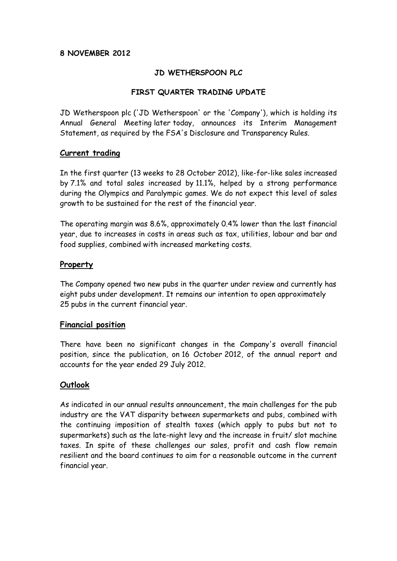#### **8 NOVEMBER 2012**

### **JD WETHERSPOON PLC**

## **FIRST QUARTER TRADING UPDATE**

JD Wetherspoon plc ('JD Wetherspoon' or the 'Company'), which is holding its Annual General Meeting later today, announces its Interim Management Statement, as required by the FSA's Disclosure and Transparency Rules.

#### **Current trading**

In the first quarter (13 weeks to 28 October 2012), like-for-like sales increased by 7.1% and total sales increased by 11.1%, helped by a strong performance during the Olympics and Paralympic games. We do not expect this level of sales growth to be sustained for the rest of the financial year.

The operating margin was 8.6%, approximately 0.4% lower than the last financial year, due to increases in costs in areas such as tax, utilities, labour and bar and food supplies, combined with increased marketing costs.

## **Property**

The Company opened two new pubs in the quarter under review and currently has eight pubs under development. It remains our intention to open approximately 25 pubs in the current financial year.

### **Financial position**

There have been no significant changes in the Company's overall financial position, since the publication, on 16 October 2012, of the annual report and accounts for the year ended 29 July 2012.

# **Outlook**

As indicated in our annual results announcement, the main challenges for the pub industry are the VAT disparity between supermarkets and pubs, combined with the continuing imposition of stealth taxes (which apply to pubs but not to supermarkets) such as the late-night levy and the increase in fruit/ slot machine taxes. In spite of these challenges our sales, profit and cash flow remain resilient and the board continues to aim for a reasonable outcome in the current financial year.